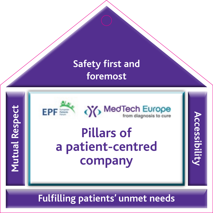

(V) Med Tech Europe

**Accessibility**

**Accessibility** 

## **Pillars of a patient-centred company**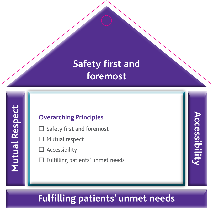### **Overarching Principles**

- $\square$  Safety first and foremost
- $\Box$  Mutual respect
- **Accessibility**
- £ Fulfilling patients' unmet needs

### **Fulfilling patients' unmet needs**

**Accessibility**

**Accessibilit**y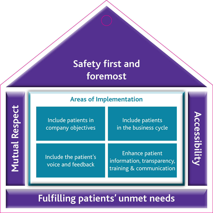|  |  |  |  | <b>Areas of Implementation</b> |
|--|--|--|--|--------------------------------|
|--|--|--|--|--------------------------------|

Include patients in company objectives

Include patients in the business cycle **Accessibility**

**Accessibility** 

Include the patient's voice and feedback

Enhance patient information, transparency, training & communication

### **Fulfilling patients' unmet needs**

**Mutual Respect Mutual Respect**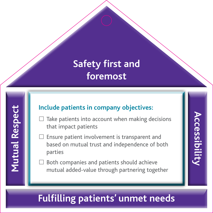### **Include patients in company objectives:**

- $\square$  Take patients into account when making decisions that impact patients
- £ Ensure patient involvement is transparent and based on mutual trust and independence of both parties

**Accessibility**

**Accessibility** 

Both companies and patients should achieve mutual added-value through partnering together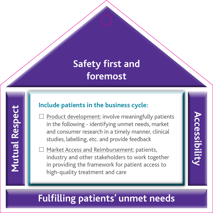### **Include patients in the business cycle:**

Product development: involve meaningfully patients in the following - identifying unmet needs, market and consumer research in a timely manner, clinical studies, labelling, etc. and provide feedback

**Accessibility**

**Accessibilit** 

Market Access and Reimbursement: patients, industry and other stakeholders to work together in providing the framework for patient access to high-quality treatment and care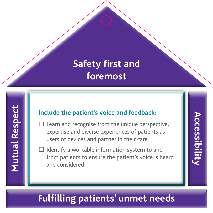### **Include the patient's voice and feedback:**

- $\square$  Learn and recognise from the unique perspective, expertise and diverse experiences of patients as users of devices and partner in their care
- Identify a workable information system to and from patients to ensure the patient's voice is heard and considered

# **Accessibility Accessibilit**y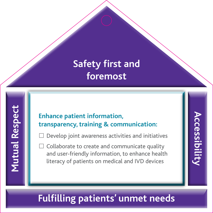### **Enhance patient information, transparency, training & communication:**

Develop joint awareness activities and initiatives

**Accessibility**

**Accessibilit** 

 $\square$  Collaborate to create and communicate quality and user-friendly information, to enhance health literacy of patients on medical and IVD devices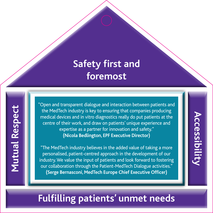**Mutual Respect Mutual Respect** 

"Open and transparent dialogue and interaction between patients and the MedTech industry is key to ensuring that companies producing medical devices and in vitro diagnostics really do put patients at the centre of their work, and draw on patients' unique experience and expertise as a partner for innovation and safety." **(Nicola Bedlington, EPF Executive Director)**

"The MedTech industry believes in the added value of taking a more personalised, patient-centred approach in the development of our industry. We value the input of patients and look forward to fostering our collaboration through the Patient-MedTech Dialogue activities." **(Serge Bernasconi, MedTech Europe Chief Executive Officer)**

# **Accessibility Accessibility**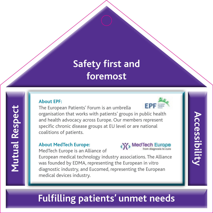#### **About EPF:**

The European Patients' Forum is an umbrella

organisation that works with patients' groups in public health and health advocacy across Europe. Our members represent specific chronic disease groups at EU level or are national coalitions of patients.

#### **About MedTech Europe:**

MedTech Europe is an Alliance of



**EPF** 

**Accessibility**

**Accessibility** 

European medical technology industry associations. The Alliance was founded by EDMA, representing the European in vitro diagnostic industry, and Eucomed, representing the European medical devices industry.

### **Fulfilling patients' unmet needs**

**Mutual Respect Mutual Respect**